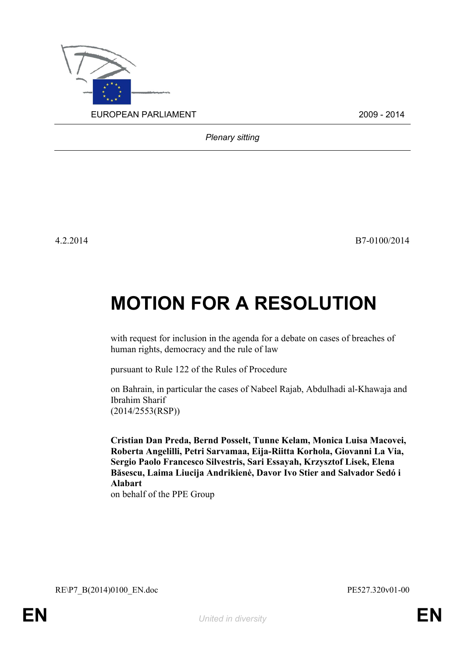

*Plenary sitting*

4.2.2014 B7-0100/2014

## **MOTION FOR A RESOLUTION**

with request for inclusion in the agenda for a debate on cases of breaches of human rights, democracy and the rule of law

pursuant to Rule 122 of the Rules of Procedure

on Bahrain, in particular the cases of Nabeel Rajab, Abdulhadi al-Khawaja and Ibrahim Sharif (2014/2553(RSP))

<span id="page-0-0"></span>**Cristian Dan Preda, Bernd Posselt, Tunne Kelam, Monica Luisa Macovei, Roberta Angelilli, Petri Sarvamaa, Eija-Riitta Korhola, Giovanni La Via, Sergio Paolo Francesco Silvestris, Sari Essayah, Krzysztof Lisek, Elena Băsescu, Laima Liucija Andrikienė, Davor Ivo Stier and Salvador Sedó i Alabart** on behalf of the PPE Group

<span id="page-0-1"></span>RE\P7\_B(2014)0100\_EN.doc PE527.320v01-00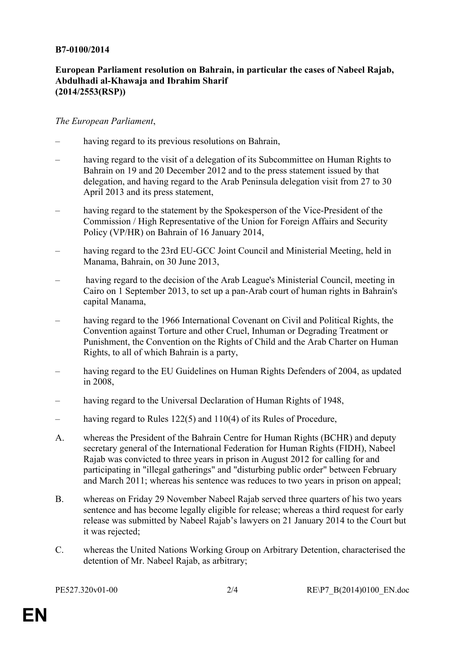## **B7-0100/2014**

## **European Parliament resolution on Bahrain, in particular the cases of Nabeel Rajab, Abdulhadi al-Khawaja and Ibrahim Sharif (2014/2553(RSP))**

## *The European Parliament*,

- having regard to its previous resolutions on Bahrain,
- having regard to the visit of a delegation of its Subcommittee on Human Rights to Bahrain on 19 and 20 December 2012 and to the press statement issued by that delegation, and having regard to the Arab Peninsula delegation visit from 27 to 30 April 2013 and its press statement,
- having regard to the statement by the Spokesperson of the Vice-President of the Commission / High Representative of the Union for Foreign Affairs and Security Policy (VP/HR) on Bahrain of 16 January 2014,
- having regard to the 23rd EU-GCC Joint Council and Ministerial Meeting, held in Manama, Bahrain, on 30 June 2013,
- having regard to the decision of the Arab League's Ministerial Council, meeting in Cairo on 1 September 2013, to set up a pan-Arab court of human rights in Bahrain's capital Manama,
- having regard to the 1966 International Covenant on Civil and Political Rights, the Convention against Torture and other Cruel, Inhuman or Degrading Treatment or Punishment, the Convention on the Rights of Child and the Arab Charter on Human Rights, to all of which Bahrain is a party,
- having regard to the EU Guidelines on Human Rights Defenders of 2004, as updated in 2008,
- having regard to the Universal Declaration of Human Rights of 1948,
- having regard to Rules 122(5) and 110(4) of its Rules of Procedure,
- A. whereas the President of the Bahrain Centre for Human Rights (BCHR) and deputy secretary general of the International Federation for Human Rights (FIDH), Nabeel Rajab was convicted to three years in prison in August 2012 for calling for and participating in "illegal gatherings" and "disturbing public order" between February and March 2011; whereas his sentence was reduces to two years in prison on appeal;
- B. whereas on Friday 29 November Nabeel Rajab served three quarters of his two years sentence and has become legally eligible for release; whereas a third request for early release was submitted by Nabeel Rajab's lawyers on 21 January 2014 to the Court but it was rejected;
- C. whereas the United Nations Working Group on Arbitrary Detention, characterised the detention of Mr. Nabeel Rajab, as arbitrary;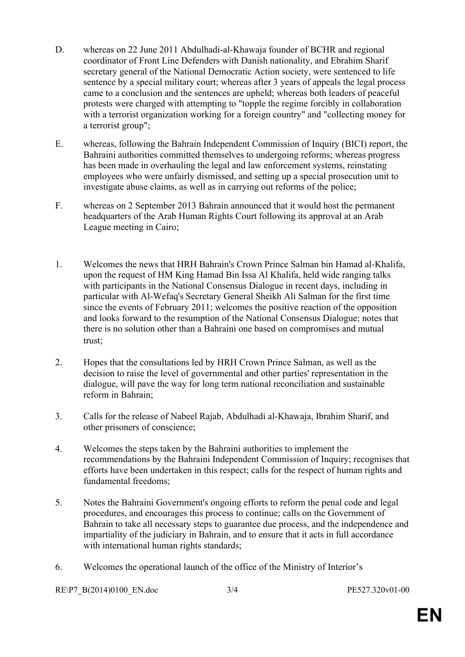- D. whereas on 22 June 2011 Abdulhadi-al-Khawaja founder of BCHR and regional coordinator of Front Line Defenders with Danish nationality, and Ebrahim Sharif secretary general of the National Democratic Action society, were sentenced to life sentence by a special military court; whereas after 3 years of appeals the legal process came to a conclusion and the sentences are upheld; whereas both leaders of peaceful protests were charged with attempting to "topple the regime forcibly in collaboration with a terrorist organization working for a foreign country" and "collecting money for a terrorist group";
- E. whereas, following the Bahrain Independent Commission of Inquiry (BICI) report, the Bahraini authorities committed themselves to undergoing reforms; whereas progress has been made in overhauling the legal and law enforcement systems, reinstating employees who were unfairly dismissed, and setting up a special prosecution unit to investigate abuse claims, as well as in carrying out reforms of the police;
- F. whereas on 2 September 2013 Bahrain announced that it would host the permanent headquarters of the Arab Human Rights Court following its approval at an Arab League meeting in Cairo;
- 1. Welcomes the news that HRH Bahrain's Crown Prince Salman bin Hamad al-Khalifa, upon the request of HM King Hamad Bin Issa Al Khalifa, held wide ranging talks with participants in the National Consensus Dialogue in recent days, including in particular with Al-Wefaq's Secretary General Sheikh Ali Salman for the first time since the events of February 2011; welcomes the positive reaction of the opposition and looks forward to the resumption of the National Consensus Dialogue; notes that there is no solution other than a Bahraini one based on compromises and mutual trust;
- 2. Hopes that the consultations led by HRH Crown Prince Salman, as well as the decision to raise the level of governmental and other parties' representation in the dialogue, will pave the way for long term national reconciliation and sustainable reform in Bahrain;
- 3. Calls for the release of Nabeel Rajab, Abdulhadi al-Khawaja, Ibrahim Sharif, and other prisoners of conscience;
- 4. Welcomes the steps taken by the Bahraini authorities to implement the recommendations by the Bahraini Independent Commission of Inquiry; recognises that efforts have been undertaken in this respect; calls for the respect of human rights and fundamental freedoms;
- 5. Notes the Bahraini Government's ongoing efforts to reform the penal code and legal procedures, and encourages this process to continue; calls on the Government of Bahrain to take all necessary steps to guarantee due process, and the independence and impartiality of the judiciary in Bahrain, and to ensure that it acts in full accordance with international human rights standards;
- 6. Welcomes the operational launch of the office of the Ministry of Interior's

[RE\P7\\_B\(2014\)0100\\_EN.doc](#page-0-1) 3/4 [PE527.320v01-00](#page-0-0)